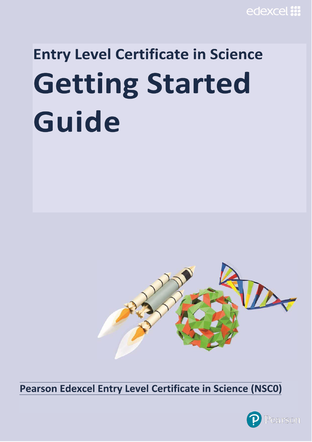# **Entry Level Certificate in Science Getting Started** Guide



Pearson Edexcel Entry Level Certificate in Science (NSC0)

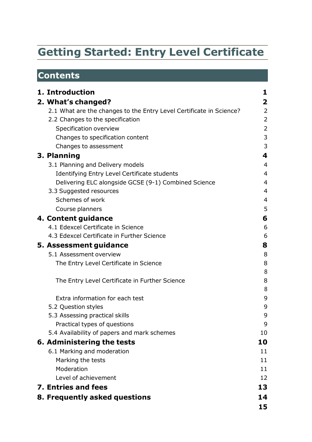# **Getting Started: Entry Level Certificate**

# **Contents**

| 1. Introduction                                                     | 1              |
|---------------------------------------------------------------------|----------------|
| 2. What's changed?                                                  | 2              |
| 2.1 What are the changes to the Entry Level Certificate in Science? | $\overline{2}$ |
| 2.2 Changes to the specification                                    | 2              |
| Specification overview                                              | 2              |
| Changes to specification content                                    | 3              |
| Changes to assessment                                               | 3              |
| 3. Planning                                                         | 4              |
| 3.1 Planning and Delivery models                                    | $\overline{4}$ |
| Identifying Entry Level Certificate students                        | $\overline{4}$ |
| Delivering ELC alongside GCSE (9-1) Combined Science                | $\overline{4}$ |
| 3.3 Suggested resources                                             | 4              |
| Schemes of work                                                     | 4              |
| Course planners                                                     | 5              |
| 4. Content guidance                                                 | 6              |
| 4.1 Edexcel Certificate in Science                                  | 6              |
| 4.3 Edexcel Certificate in Further Science                          | 6              |
| 5. Assessment guidance                                              | 8              |
| 5.1 Assessment overview                                             | 8              |
| The Entry Level Certificate in Science                              | 8              |
|                                                                     | 8              |
| The Entry Level Certificate in Further Science                      | 8              |
|                                                                     | 8              |
| Extra information for each test                                     | 9              |
| 5.2 Question styles                                                 | 9              |
| 5.3 Assessing practical skills                                      | 9              |
| Practical types of questions                                        | 9              |
| 5.4 Availability of papers and mark schemes                         | 10             |
| 6. Administering the tests                                          | 10             |
| 6.1 Marking and moderation                                          | 11             |
| Marking the tests                                                   | 11             |
| Moderation                                                          | 11             |
| Level of achievement                                                | 12             |
| 7. Entries and fees                                                 | 13             |
| 8. Frequently asked questions                                       | 14             |
|                                                                     | 15             |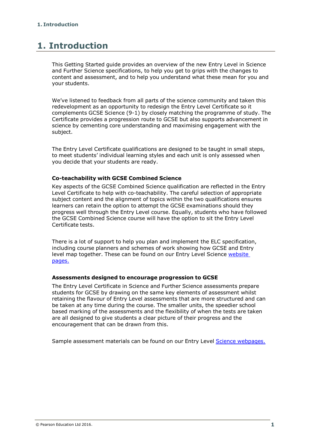# <span id="page-2-0"></span>**1. Introduction**

This Getting Started guide provides an overview of the new Entry Level in Science and Further Science specifications, to help you get to grips with the changes to content and assessment, and to help you understand what these mean for you and your students.

We've listened to feedback from all parts of the science community and taken this redevelopment as an opportunity to redesign the Entry Level Certificate so it complements GCSE Science (9-1) by closely matching the programme of study. The Certificate provides a progression route to GCSE but also supports advancement in science by cementing core understanding and maximising engagement with the subject.

The Entry Level Certificate qualifications are designed to be taught in small steps, to meet students' individual learning styles and each unit is only assessed when you decide that your students are ready.

## **Co-teachability with GCSE Combined Science**

Key aspects of the GCSE Combined Science qualification are reflected in the Entry Level Certificate to help with co-teachability. The careful selection of appropriate subject content and the alignment of topics within the two qualifications ensures learners can retain the option to attempt the GCSE examinations should they progress well through the Entry Level course. Equally, students who have followed the GCSE Combined Science course will have the option to sit the Entry Level Certificate tests.

There is a lot of support to help you plan and implement the ELC specification, including course planners and schemes of work showing how GCSE and Entry level map together. These can be found on our Entry Level Science [website](https://qualifications.pearson.com/en/qualifications/edexcel-entry-level-certificate/science-2016.html) [pages.](https://qualifications.pearson.com/en/qualifications/edexcel-entry-level-certificate/science-2016.html)

#### **Assessments designed to encourage progression to GCSE**

The Entry Level Certificate in Science and Further Science assessments prepare students for GCSE by drawing on the same key elements of assessment whilst retaining the flavour of Entry Level assessments that are more structured and can be taken at any time during the course. The smaller units, the speedier school based marking of the assessments and the flexibility of when the tests are taken are all designed to give students a clear picture of their progress and the encouragement that can be drawn from this.

Sample assessment materials can be found on our Entry Level Science [webpages.](https://qualifications.pearson.com/en/qualifications/edexcel-entry-level-certificate/science-2016.coursematerials.html#filterQuery%3Dcategory%3APearson-UK%3ACategory%2FSpecification-and-sample-assessments)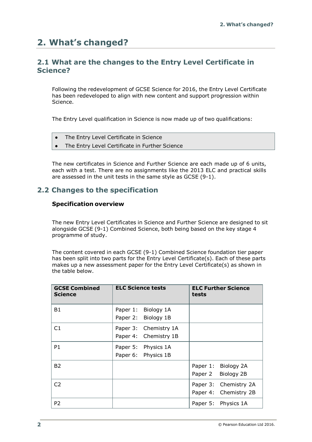# <span id="page-3-0"></span>**2. What's changed?**

# <span id="page-3-1"></span>**2.1 What are the changes to the Entry Level Certificate in Science?**

Following the redevelopment of GCSE Science for 2016, the Entry Level Certificate has been redeveloped to align with new content and support progression within Science.

The Entry Level qualification in Science is now made up of two qualifications:

- The Entry Level Certificate in Science
- The Entry Level Certificate in Further Science

The new certificates in Science and Further Science are each made up of 6 units, each with a test. There are no assignments like the 2013 ELC and practical skills are assessed in the unit tests in the same style as GCSE (9-1).

# <span id="page-3-3"></span><span id="page-3-2"></span>**2.2 Changes to the specification**

# **Specification overview**

The new Entry Level Certificates in Science and Further Science are designed to sit alongside GCSE (9-1) Combined Science, both being based on the key stage 4 programme of study.

The content covered in each GCSE (9-1) Combined Science foundation tier paper has been split into two parts for the Entry Level Certificate(s). Each of these parts makes up a new assessment paper for the Entry Level Certificate(s) as shown in the table below.

| <b>GCSE Combined</b><br><b>Science</b> | <b>ELC Science tests</b>                          | <b>ELC Further Science</b><br>tests            |
|----------------------------------------|---------------------------------------------------|------------------------------------------------|
| <b>B1</b>                              | Paper 1: Biology 1A<br>Paper 2: Biology 1B        |                                                |
| C1                                     | Paper 3: Chemistry 1A<br>Paper 4:<br>Chemistry 1B |                                                |
| P <sub>1</sub>                         | Paper 5: Physics 1A<br>Paper 6: Physics 1B        |                                                |
| <b>B2</b>                              |                                                   | Paper 1: Biology 2A<br>Paper 2<br>Biology 2B   |
| C <sub>2</sub>                         |                                                   | Paper 3: Chemistry 2A<br>Paper 4: Chemistry 2B |
| P <sub>2</sub>                         |                                                   | Paper 5: Physics 1A                            |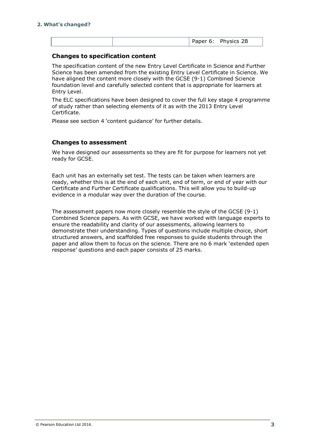|--|

# <span id="page-4-0"></span>**Changes to specification content**

The specification content of the new Entry Level Certificate in Science and Further Science has been amended from the existing Entry Level Certificate in Science. We have aligned the content more closely with the GCSE (9-1) Combined Science foundation level and carefully selected content that is appropriate for learners at Entry Level.

The ELC specifications have been designed to cover the full key stage 4 programme of study rather than selecting elements of it as with the 2013 Entry Level Certificate.

Please see section 4 'content guidance' for further details.

# <span id="page-4-1"></span>**Changes to assessment**

We have designed our assessments so they are fit for purpose for learners not yet ready for GCSE.

Each unit has an externally set test. The tests can be taken when learners are ready, whether this is at the end of each unit, end of term, or end of year with our Certificate and Further Certificate qualifications. This will allow you to build-up evidence in a modular way over the duration of the course.

The assessment papers now more closely resemble the style of the GCSE (9-1) Combined Science papers. As with GCSE, we have worked with language experts to ensure the readability and clarity of our assessments, allowing learners to demonstrate their understanding. Types of questions include multiple choice, short structured answers, and scaffolded free responses to guide students through the paper and allow them to focus on the science. There are no 6 mark 'extended open response' questions and each paper consists of 25 marks.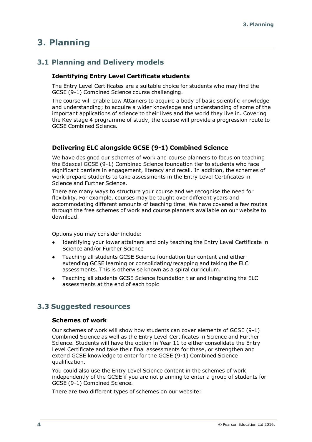# <span id="page-5-0"></span>**3. Planning**

# <span id="page-5-2"></span><span id="page-5-1"></span>**3.1 Planning and Delivery models**

# **Identifying Entry Level Certificate students**

The Entry Level Certificates are a suitable choice for students who may find the GCSE (9-1) Combined Science course challenging.

The course will enable Low Attainers to acquire a body of basic scientific knowledge and understanding; to acquire a wider knowledge and understanding of some of the important applications of science to their lives and the world they live in. Covering the Key stage 4 programme of study, the course will provide a progression route to GCSE Combined Science.

# <span id="page-5-3"></span>**Delivering ELC alongside GCSE (9-1) Combined Science**

We have designed our schemes of work and course planners to focus on teaching the Edexcel GCSE (9-1) Combined Science foundation tier to students who face significant barriers in engagement, literacy and recall. In addition, the schemes of work prepare students to take assessments in the Entry Level Certificates in Science and Further Science.

There are many ways to structure your course and we recognise the need for flexibility. For example, courses may be taught over different years and accommodating different amounts of teaching time. We have covered a few routes through the free schemes of work and course planners available on our website to download.

Options you may consider include:

- Identifying your lower attainers and only teaching the Entry Level Certificate in Science and/or Further Science
- Teaching all students GCSE Science foundation tier content and either extending GCSE learning or consolidating/recapping and taking the ELC assessments. This is otherwise known as a spiral curriculum.
- Teaching all students GCSE Science foundation tier and integrating the ELC assessments at the end of each topic

# <span id="page-5-5"></span><span id="page-5-4"></span>**3.3 Suggested resources**

#### **Schemes of work**

Our schemes of work will show how students can cover elements of GCSE (9-1) Combined Science as well as the Entry Level Certificates in Science and Further Science. Students will have the option in Year 11 to either consolidate the Entry Level Certificate and take their final assessments for these, or strengthen and extend GCSE knowledge to enter for the GCSE (9-1) Combined Science qualification.

You could also use the Entry Level Science content in the schemes of work independently of the GCSE if you are not planning to enter a group of students for GCSE (9-1) Combined Science.

There are two different types of schemes on our website: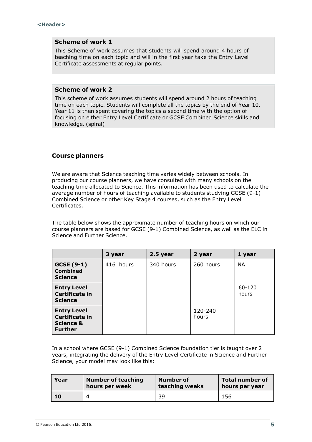## **Scheme of work 1**

This Scheme of work assumes that students will spend around 4 hours of teaching time on each topic and will in the first year take the Entry Level Certificate assessments at regular points.

#### **Scheme of work 2**

This scheme of work assumes students will spend around 2 hours of teaching time on each topic. Students will complete all the topics by the end of Year 10. Year 11 is then spent covering the topics a second time with the option of focusing on either Entry Level Certificate or GCSE Combined Science skills and knowledge. (spiral)

# <span id="page-6-0"></span>**Course planners**

We are aware that Science teaching time varies widely between schools. In producing our course planners, we have consulted with many schools on the teaching time allocated to Science. This information has been used to calculate the average number of hours of teaching available to students studying GCSE (9-1) Combined Science or other Key Stage 4 courses, such as the Entry Level Certificates.

The table below shows the approximate number of teaching hours on which our course planners are based for GCSE (9-1) Combined Science, as well as the ELC in Science and Further Science.

|                                                                                       | 3 year    | $2.5$ year | 2 year           | 1 year          |
|---------------------------------------------------------------------------------------|-----------|------------|------------------|-----------------|
| GCSE (9-1)<br><b>Combined</b><br><b>Science</b>                                       | 416 hours | 340 hours  | 260 hours        | <b>NA</b>       |
| <b>Entry Level</b><br><b>Certificate in</b><br><b>Science</b>                         |           |            |                  | 60-120<br>hours |
| <b>Entry Level</b><br><b>Certificate in</b><br><b>Science &amp;</b><br><b>Further</b> |           |            | 120-240<br>hours |                 |

In a school where GCSE (9-1) Combined Science foundation tier is taught over 2 years, integrating the delivery of the Entry Level Certificate in Science and Further Science, your model may look like this:

| Year | <b>Number of teaching</b> | Number of      | <b>Total number of</b> |
|------|---------------------------|----------------|------------------------|
|      | hours per week            | teaching weeks | hours per year         |
| 10   |                           | 39             | 156                    |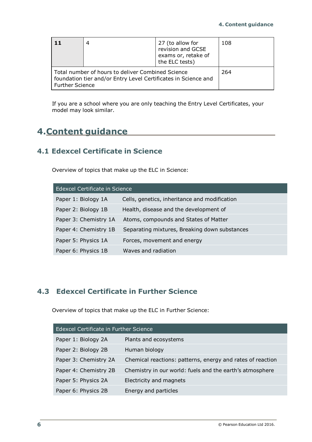|                                                                                                                                               | 4 | 27 (to allow for<br>revision and GCSE<br>exams or, retake of<br>the ELC tests) | 108 |
|-----------------------------------------------------------------------------------------------------------------------------------------------|---|--------------------------------------------------------------------------------|-----|
| Total number of hours to deliver Combined Science<br>foundation tier and/or Entry Level Certificates in Science and<br><b>Further Science</b> |   |                                                                                | 264 |

If you are a school where you are only teaching the Entry Level Certificates, your model may look similar.

# <span id="page-7-0"></span>**4.Content guidance**

# <span id="page-7-1"></span>**4.1 Edexcel Certificate in Science**

Overview of topics that make up the ELC in Science:

| Edexcel Certificate in Science |                                               |  |
|--------------------------------|-----------------------------------------------|--|
| Paper 1: Biology 1A            | Cells, genetics, inheritance and modification |  |
| Paper 2: Biology 1B            | Health, disease and the development of        |  |
| Paper 3: Chemistry 1A          | Atoms, compounds and States of Matter         |  |
| Paper 4: Chemistry 1B          | Separating mixtures, Breaking down substances |  |
| Paper 5: Physics 1A            | Forces, movement and energy                   |  |
| Paper 6: Physics 1B            | Waves and radiation                           |  |

# <span id="page-7-2"></span>**4.3 Edexcel Certificate in Further Science**

Overview of topics that make up the ELC in Further Science:

| Edexcel Certificate in Further Science |                                                            |  |
|----------------------------------------|------------------------------------------------------------|--|
| Paper 1: Biology 2A                    | Plants and ecosystems                                      |  |
| Paper 2: Biology 2B                    | Human biology                                              |  |
| Paper 3: Chemistry 2A                  | Chemical reactions: patterns, energy and rates of reaction |  |
| Paper 4: Chemistry 2B                  | Chemistry in our world: fuels and the earth's atmosphere   |  |
| Paper 5: Physics 2A                    | Electricity and magnets                                    |  |
| Paper 6: Physics 2B                    | Energy and particles                                       |  |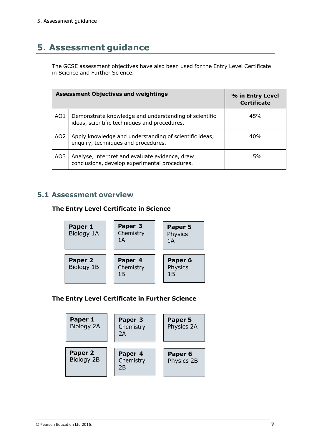# <span id="page-8-0"></span>**5. Assessment guidance**

The GCSE assessment objectives have also been used for the Entry Level Certificate in Science and Further Science.

| <b>Assessment Objectives and weightings</b> |                                                                                                       | % in Entry Level<br><b>Certificate</b> |
|---------------------------------------------|-------------------------------------------------------------------------------------------------------|----------------------------------------|
| AO1                                         | Demonstrate knowledge and understanding of scientific<br>ideas, scientific techniques and procedures. | 45%                                    |
| AO <sub>2</sub>                             | Apply knowledge and understanding of scientific ideas,<br>enquiry, techniques and procedures.         | 40%                                    |
| AO3                                         | Analyse, interpret and evaluate evidence, draw<br>conclusions, develop experimental procedures.       | 15%                                    |

# <span id="page-8-2"></span><span id="page-8-1"></span>**5.1 Assessment overview**

# **The Entry Level Certificate in Science**



# <span id="page-8-3"></span>**The Entry Level Certificate in Further Science**

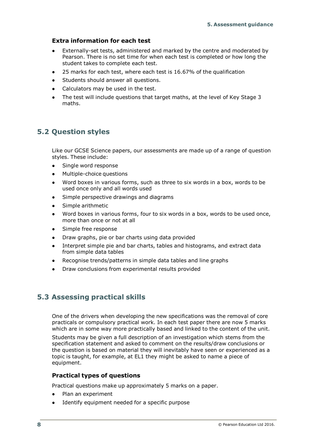# <span id="page-9-0"></span>**Extra information for each test**

- Externally-set tests, administered and marked by the centre and moderated by Pearson. There is no set time for when each test is completed or how long the student takes to complete each test.
- 25 marks for each test, where each test is 16.67% of the qualification
- Students should answer all questions.
- Calculators may be used in the test.
- The test will include questions that target maths, at the level of Key Stage 3 maths.

# <span id="page-9-1"></span>**5.2 Question styles**

Like our GCSE Science papers, our assessments are made up of a range of question styles. These include:

- Single word response
- Multiple-choice questions
- Word boxes in various forms, such as three to six words in a box, words to be used once only and all words used
- Simple perspective drawings and diagrams
- Simple arithmetic
- Word boxes in various forms, four to six words in a box, words to be used once, more than once or not at all
- Simple free response
- Draw graphs, pie or bar charts using data provided
- Interpret simple pie and bar charts, tables and histograms, and extract data from simple data tables
- Recognise trends/patterns in simple data tables and line graphs
- Draw conclusions from experimental results provided

# <span id="page-9-2"></span>**5.3 Assessing practical skills**

One of the drivers when developing the new specifications was the removal of core practicals or compulsory practical work. In each test paper there are now 5 marks which are in some way more practically based and linked to the content of the unit.

Students may be given a full description of an investigation which stems from the specification statement and asked to comment on the results/draw conclusions or the question is based on material they will inevitably have seen or experienced as a topic is taught, for example, at EL1 they might be asked to name a piece of equipment.

# <span id="page-9-3"></span>**Practical types of questions**

Practical questions make up approximately 5 marks on a paper.

- Plan an experiment
- Identify equipment needed for a specific purpose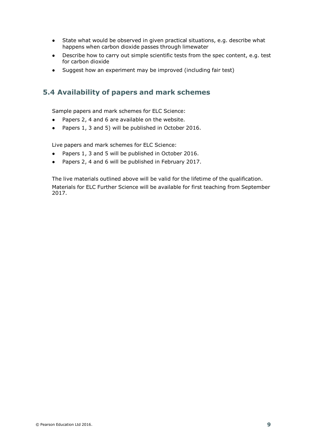- State what would be observed in given practical situations, e.g. describe what happens when carbon dioxide passes through limewater
- Describe how to carry out simple scientific tests from the spec content, e.g. test for carbon dioxide
- Suggest how an experiment may be improved (including fair test)

# <span id="page-10-0"></span>**5.4 Availability of papers and mark schemes**

Sample papers and mark schemes for ELC Science:

- Papers 2, 4 and 6 are available on the website.
- Papers 1, 3 and 5) will be published in October 2016.

Live papers and mark schemes for ELC Science:

- Papers 1, 3 and 5 will be published in October 2016.
- Papers 2, 4 and 6 will be published in February 2017.

The live materials outlined above will be valid for the lifetime of the qualification. Materials for ELC Further Science will be available for first teaching from September 2017.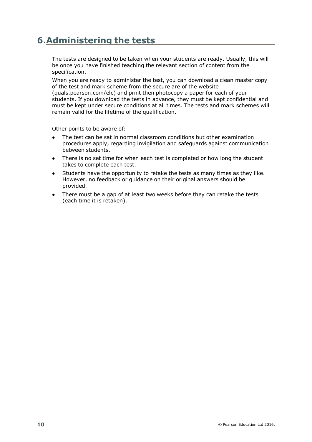# <span id="page-11-0"></span>**6.Administering the tests**

The tests are designed to be taken when your students are ready. Usually, this will be once you have finished teaching the relevant section of content from the specification.

When you are ready to administer the test, you can download a clean master copy of the test and mark scheme from the secure are of the website (quals.pearson.com/elc) and print then photocopy a paper for each of your students. If you download the tests in advance, they must be kept confidential and must be kept under secure conditions at all times. The tests and mark schemes will remain valid for the lifetime of the qualification.

Other points to be aware of:

- The test can be sat in normal classroom conditions but other examination procedures apply, regarding invigilation and safeguards against communication between students.
- There is no set time for when each test is completed or how long the student takes to complete each test.
- Students have the opportunity to retake the tests as many times as they like. However, no feedback or guidance on their original answers should be provided.
- There must be a gap of at least two weeks before they can retake the tests (each time it is retaken).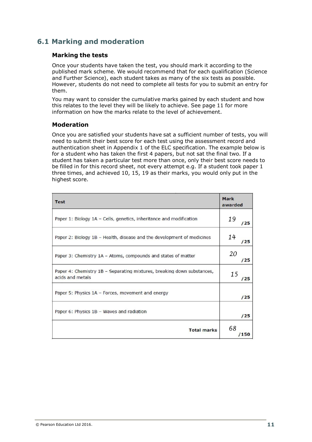# <span id="page-12-1"></span><span id="page-12-0"></span>**6.1 Marking and moderation**

# **Marking the tests**

Once your students have taken the test, you should mark it according to the published mark scheme. We would recommend that for each qualification (Science and Further Science), each student takes as many of the six tests as possible. However, students do not need to complete all tests for you to submit an entry for them.

You may want to consider the cumulative marks gained by each student and how this relates to the level they will be likely to achieve. See page 11 for more information on how the marks relate to the level of achievement.

# <span id="page-12-2"></span>**Moderation**

Once you are satisfied your students have sat a sufficient number of tests, you will need to submit their best score for each test using the assessment record and authentication sheet in Appendix 1 of the ELC specification. The example below is for a student who has taken the first 4 papers, but not sat the final two. If a student has taken a particular test more than once, only their best score needs to be filled in for this record sheet, not every attempt e.g. If a student took paper 1 three times, and achieved 10, 15, 19 as their marks, you would only put in the highest score.

| <b>Test</b>                                                                                | Mark<br>awarded |
|--------------------------------------------------------------------------------------------|-----------------|
| Paper 1: Biology 1A – Cells, genetics, inheritance and modification                        | 19<br>/25       |
| Paper 2: Biology 1B - Health, disease and the development of medicines                     | 14<br>/25       |
| Paper 3: Chemistry 1A - Atoms, compounds and states of matter                              | 20<br>/25       |
| Paper 4: Chemistry 1B - Separating mixtures, breaking down substances,<br>acids and metals | 15<br>'25       |
| Paper 5: Physics 1A - Forces, movement and energy                                          | /25             |
| Paper 6: Physics 1B - Waves and radiation                                                  | /25             |
| <b>Total marks</b>                                                                         | 68<br>/150      |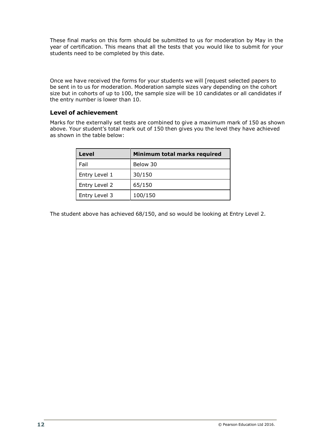These final marks on this form should be submitted to us for moderation by May in the year of certification. This means that all the tests that you would like to submit for your students need to be completed by this date.

Once we have received the forms for your students we will [request selected papers to be sent in to us for moderation. Moderation sample sizes vary depending on the cohort size but in cohorts of up to 100, the sample size will be 10 candidates or all candidates if the entry number is lower than 10.

# <span id="page-13-0"></span>**Level of achievement**

Marks for the externally set tests are combined to give a maximum mark of 150 as shown above. Your student's total mark out of 150 then gives you the level they have achieved as shown in the table below:

| Level         | Minimum total marks required |
|---------------|------------------------------|
| Fail          | Below 30                     |
| Entry Level 1 | 30/150                       |
| Entry Level 2 | 65/150                       |
| Entry Level 3 | 100/150                      |

The student above has achieved 68/150, and so would be looking at Entry Level 2.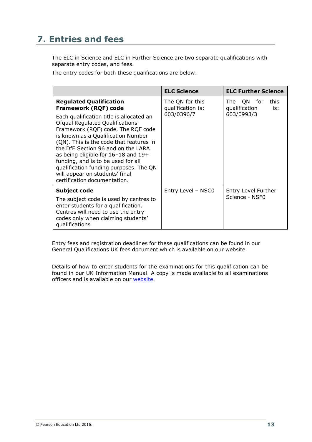# <span id="page-14-0"></span>**7. Entries and fees**

The ELC in Science and ELC in Further Science are two separate qualifications with separate entry codes, and fees.

The entry codes for both these qualifications are below:

|                                                                                                                                                                                                                                                                                                                                                                                                                                          | <b>ELC Science</b>                   | <b>ELC Further Science</b>                           |
|------------------------------------------------------------------------------------------------------------------------------------------------------------------------------------------------------------------------------------------------------------------------------------------------------------------------------------------------------------------------------------------------------------------------------------------|--------------------------------------|------------------------------------------------------|
| <b>Regulated Qualification</b><br>Framework (RQF) code                                                                                                                                                                                                                                                                                                                                                                                   | The QN for this<br>qualification is: | QN.<br>this.<br>The<br>for -<br>qualification<br>is: |
| Each qualification title is allocated an<br><b>Ofqual Regulated Qualifications</b><br>Framework (RQF) code. The RQF code<br>is known as a Qualification Number<br>(QN). This is the code that features in<br>the DfE Section 96 and on the LARA<br>as being eligible for 16-18 and 19+<br>funding, and is to be used for all<br>qualification funding purposes. The QN<br>will appear on students' final<br>certification documentation. | 603/0396/7                           | 603/0993/3                                           |
| <b>Subject code</b>                                                                                                                                                                                                                                                                                                                                                                                                                      | Entry Level - NSC0                   | Entry Level Further                                  |
| The subject code is used by centres to<br>enter students for a qualification.<br>Centres will need to use the entry<br>codes only when claiming students'<br>qualifications                                                                                                                                                                                                                                                              |                                      | Science - NSF0                                       |

Entry fees and registration deadlines for these qualifications can be found in our General Qualifications UK fees document which is available on our website.

Details of how to enter students for the examinations for this qualification can be found in our UK Information Manual. A copy is made available to all examinations officers and is available on our [website.](https://qualifications.pearson.com/en/support/support-topics/centre-administration/fees.html#step1)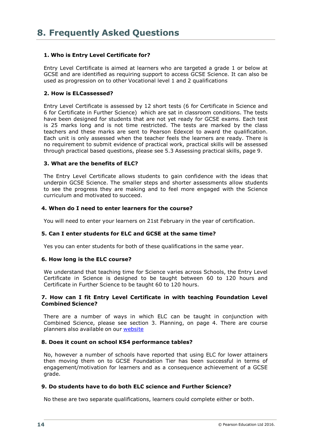# <span id="page-15-0"></span>**1. Who is Entry Level Certificate for?**

Entry Level Certificate is aimed at learners who are targeted a grade 1 or below at GCSE and are identified as requiring support to access GCSE Science. It can also be used as progression on to other Vocational level 1 and 2 qualifications

## **2. How is ELCassessed?**

Entry Level Certificate is assessed by 12 short tests (6 for Certificate in Science and 6 for Certificate in Further Science) which are sat in classroom conditions. The tests have been designed for students that are not yet ready for GCSE exams. Each test is 25 marks long and is not time restricted. The tests are marked by the class teachers and these marks are sent to Pearson Edexcel to award the qualification. Each unit is only assessed when the teacher feels the learners are ready. There is no requirement to submit evidence of practical work, practical skills will be assessed through practical based questions, please see 5.3 Assessing practical skills, page 9.

## **3. What are the benefits of ELC?**

The Entry Level Certificate allows students to gain confidence with the ideas that underpin GCSE Science. The smaller steps and shorter assessments allow students to see the progress they are making and to feel more engaged with the Science curriculum and motivated to succeed.

#### **4. When do I need to enter learners for the course?**

You will need to enter your learners on 21st February in the year of certification.

# **5. Can I enter students for ELC and GCSE at the same time?**

Yes you can enter students for both of these qualifications in the same year.

#### **6. How long is the ELC course?**

We understand that teaching time for Science varies across Schools, the Entry Level Certificate in Science is designed to be taught between 60 to 120 hours and Certificate in Further Science to be taught 60 to 120 hours.

#### **7. How can I fit Entry Level Certificate in with teaching Foundation Level Combined Science?**

There are a number of ways in which ELC can be taught in conjunction with Combined Science, please see section 3. Planning, on page 4. There are course planners also available on our [website](https://qualifications.pearson.com/en/qualifications/edexcel-entry-level-certificate/science-2016.coursematerials.html#filterQuery%3DPearson-UK%3ACategory%2FTeaching-and-learning-materials)

#### **8. Does it count on school KS4 performance tables?**

No, however a number of schools have reported that using ELC for lower attainers then moving them on to GCSE Foundation Tier has been successful in terms of engagement/motivation for learners and as a consequence achievement of a GCSE grade.

#### **9. Do students have to do both ELC science and Further Science?**

No these are two separate qualifications, learners could complete either or both.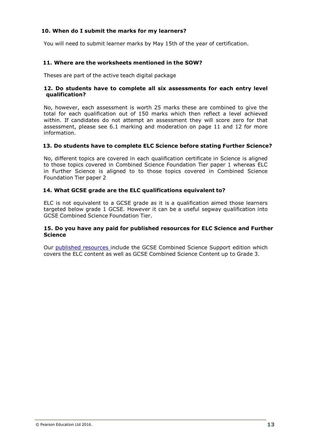# **10. When do I submit the marks for my learners?**

You will need to submit learner marks by May 15th of the year of certification.

## **11. Where are the worksheets mentioned in the SOW?**

Theses are part of the active teach digital package

## **12. Do students have to complete all six assessments for each entry level qualification?**

No, however, each assessment is worth 25 marks these are combined to give the total for each qualification out of 150 marks which then reflect a level achieved within. If candidates do not attempt an assessment they will score zero for that assessment, please see 6.1 marking and moderation on page 11 and 12 for more information.

## **13. Do students have to complete ELC Science before stating Further Science?**

No, different topics are covered in each qualification certificate in Science is aligned to those topics covered in Combined Science Foundation Tier paper 1 whereas ELC in Further Science is aligned to to those topics covered in Combined Science Foundation Tier paper 2

## **14. What GCSE grade are the ELC qualifications equivalent to?**

ELC is not equivalent to a GCSE grade as it is a qualification aimed those learners targeted below grade 1 GCSE. However it can be a useful segway qualification into GCSE Combined Science Foundation Tier.

#### **15. Do you have any paid for published resources for ELC Science and Further Science**

Our published [resources](https://qualifications.pearson.com/en/qualifications/edexcel-gcses/sciences-2016.resources.html?filterQuery=category%3APearson-UK%3APublisher%2FPearson) include the GCSE Combined Science Support edition which covers the ELC content as well as GCSE Combined Science Content up to Grade 3.